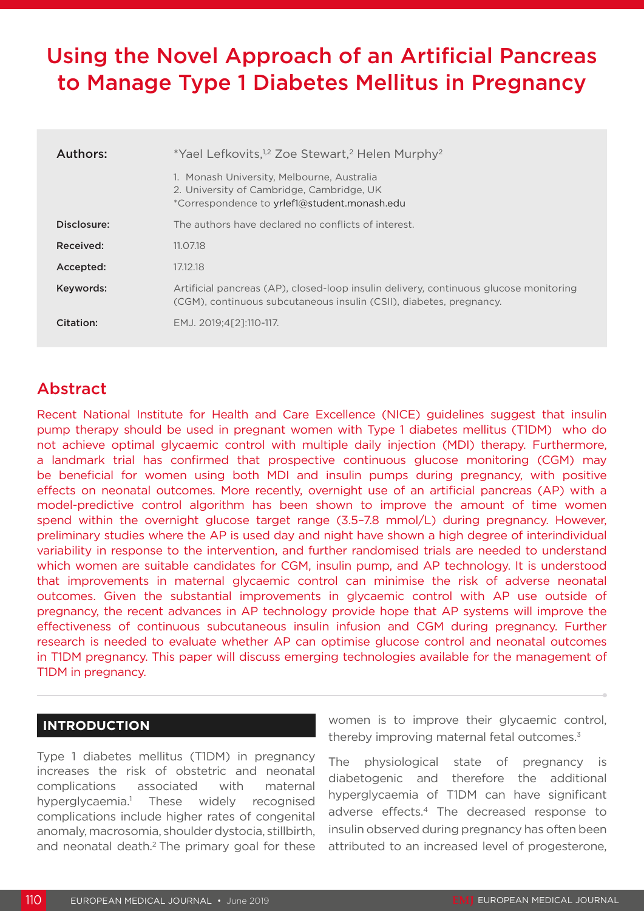# Using the Novel Approach of an Artificial Pancreas to Manage Type 1 Diabetes Mellitus in Pregnancy

| Authors:    | *Yael Lefkovits, <sup>1,2</sup> Zoe Stewart, <sup>2</sup> Helen Murphy <sup>2</sup>                                                                          |
|-------------|--------------------------------------------------------------------------------------------------------------------------------------------------------------|
|             | 1. Monash University, Melbourne, Australia<br>2. University of Cambridge, Cambridge, UK<br>*Correspondence to yrlef1@student.monash.edu                      |
| Disclosure: | The authors have declared no conflicts of interest.                                                                                                          |
| Received:   | 11.07.18                                                                                                                                                     |
| Accepted:   | 17.12.18                                                                                                                                                     |
| Keywords:   | Artificial pancreas (AP), closed-loop insulin delivery, continuous glucose monitoring<br>(CGM), continuous subcutaneous insulin (CSII), diabetes, pregnancy. |
| Citation:   | EMJ. 2019:4[21:110-117.                                                                                                                                      |

## Abstract

Recent National Institute for Health and Care Excellence (NICE) guidelines suggest that insulin pump therapy should be used in pregnant women with Type 1 diabetes mellitus (T1DM) who do not achieve optimal glycaemic control with multiple daily injection (MDI) therapy. Furthermore, a landmark trial has confirmed that prospective continuous glucose monitoring (CGM) may be beneficial for women using both MDI and insulin pumps during pregnancy, with positive effects on neonatal outcomes. More recently, overnight use of an artificial pancreas (AP) with a model-predictive control algorithm has been shown to improve the amount of time women spend within the overnight glucose target range (3.5-7.8 mmol/L) during pregnancy. However, preliminary studies where the AP is used day and night have shown a high degree of interindividual variability in response to the intervention, and further randomised trials are needed to understand which women are suitable candidates for CGM, insulin pump, and AP technology. It is understood that improvements in maternal glycaemic control can minimise the risk of adverse neonatal outcomes. Given the substantial improvements in glycaemic control with AP use outside of pregnancy, the recent advances in AP technology provide hope that AP systems will improve the effectiveness of continuous subcutaneous insulin infusion and CGM during pregnancy. Further research is needed to evaluate whether AP can optimise glucose control and neonatal outcomes in T1DM pregnancy. This paper will discuss emerging technologies available for the management of T1DM in pregnancy.

### **INTRODUCTION**

Type 1 diabetes mellitus (T1DM) in pregnancy increases the risk of obstetric and neonatal complications associated with maternal hyperglycaemia.<sup>1</sup> These widely recognised complications include higher rates of congenital anomaly, macrosomia, shoulder dystocia, stillbirth, and neonatal death.<sup>2</sup> The primary goal for these

women is to improve their glycaemic control, thereby improving maternal fetal outcomes.<sup>3</sup>

The physiological state of pregnancy is diabetogenic and therefore the additional hyperglycaemia of T1DM can have significant adverse effects.4 The decreased response to insulin observed during pregnancy has often been attributed to an increased level of progesterone,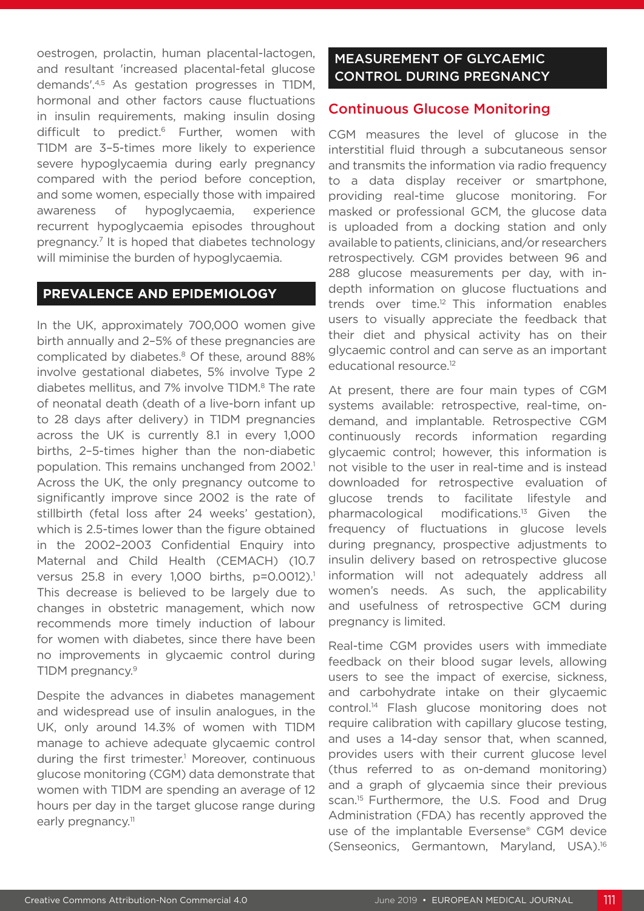oestrogen, prolactin, human placental-lactogen, and resultant 'increased placental-fetal glucose demands'.4,5 As gestation progresses in T1DM, hormonal and other factors cause fluctuations in insulin requirements, making insulin dosing difficult to predict.6 Further, women with T1DM are 3–5-times more likely to experience severe hypoglycaemia during early pregnancy compared with the period before conception, and some women, especially those with impaired awareness of hypoglycaemia, experience recurrent hypoglycaemia episodes throughout pregnancy.7 It is hoped that diabetes technology will miminise the burden of hypoglycaemia.

#### **PREVALENCE AND EPIDEMIOLOGY**

In the UK, approximately 700,000 women give birth annually and 2–5% of these pregnancies are complicated by diabetes.<sup>8</sup> Of these, around 88% involve gestational diabetes, 5% involve Type 2 diabetes mellitus, and 7% involve T1DM.<sup>8</sup> The rate of neonatal death (death of a live-born infant up to 28 days after delivery) in T1DM pregnancies across the UK is currently 8.1 in every 1,000 births, 2–5-times higher than the non-diabetic population. This remains unchanged from 2002.<sup>1</sup> Across the UK, the only pregnancy outcome to significantly improve since 2002 is the rate of stillbirth (fetal loss after 24 weeks' gestation), which is 2.5-times lower than the figure obtained in the 2002–2003 Confidential Enquiry into Maternal and Child Health (CEMACH) (10.7 versus 25.8 in every 1,000 births, p=0.0012).<sup>1</sup> This decrease is believed to be largely due to changes in obstetric management, which now recommends more timely induction of labour for women with diabetes, since there have been no improvements in glycaemic control during T1DM pregnancy.<sup>9</sup>

Despite the advances in diabetes management and widespread use of insulin analogues, in the UK, only around 14.3% of women with T1DM manage to achieve adequate glycaemic control during the first trimester.<sup>1</sup> Moreover, continuous glucose monitoring (CGM) data demonstrate that women with T1DM are spending an average of 12 hours per day in the target glucose range during early pregnancy.<sup>11</sup>

## MEASUREMENT OF GLYCAEMIC CONTROL DURING PREGNANCY

#### Continuous Glucose Monitoring

CGM measures the level of glucose in the interstitial fluid through a subcutaneous sensor and transmits the information via radio frequency to a data display receiver or smartphone, providing real-time glucose monitoring. For masked or professional GCM, the glucose data is uploaded from a docking station and only available to patients, clinicians, and/or researchers retrospectively. CGM provides between 96 and 288 glucose measurements per day, with indepth information on glucose fluctuations and trends over time.<sup>12</sup> This information enables users to visually appreciate the feedback that their diet and physical activity has on their glycaemic control and can serve as an important educational resource.<sup>12</sup>

At present, there are four main types of CGM systems available: retrospective, real-time, ondemand, and implantable. Retrospective CGM continuously records information regarding glycaemic control; however, this information is not visible to the user in real-time and is instead downloaded for retrospective evaluation of glucose trends to facilitate lifestyle and pharmacological modifications.13 Given the frequency of fluctuations in glucose levels during pregnancy, prospective adjustments to insulin delivery based on retrospective glucose information will not adequately address all women's needs. As such, the applicability and usefulness of retrospective GCM during pregnancy is limited.

Real-time CGM provides users with immediate feedback on their blood sugar levels, allowing users to see the impact of exercise, sickness, and carbohydrate intake on their glycaemic control.14 Flash glucose monitoring does not require calibration with capillary glucose testing, and uses a 14-day sensor that, when scanned, provides users with their current glucose level (thus referred to as on-demand monitoring) and a graph of glycaemia since their previous scan.<sup>15</sup> Furthermore, the U.S. Food and Drug Administration (FDA) has recently approved the use of the implantable Eversense® CGM device (Senseonics, Germantown, Maryland, USA).16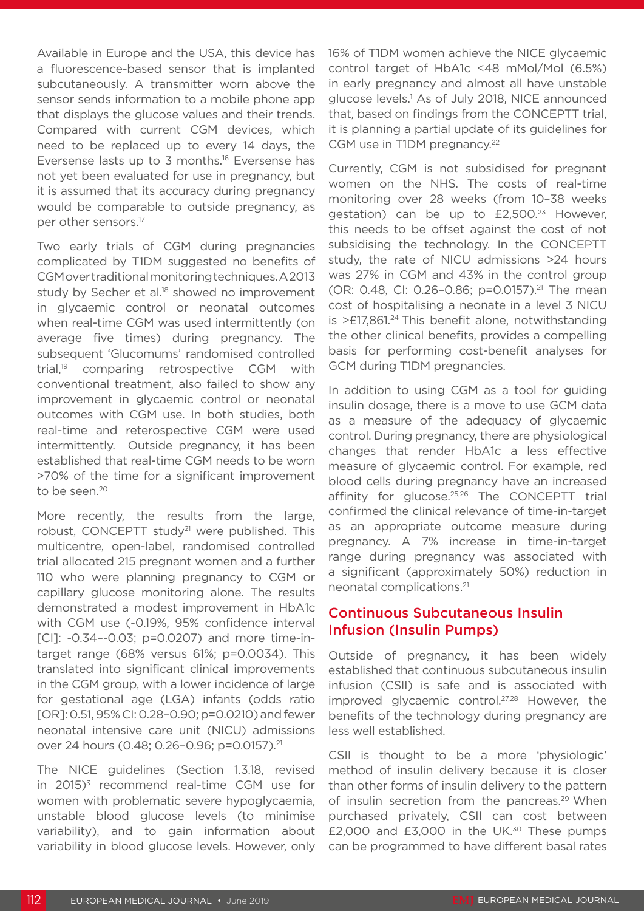Available in Europe and the USA, this device has a fluorescence-based sensor that is implanted subcutaneously. A transmitter worn above the sensor sends information to a mobile phone app that displays the glucose values and their trends. Compared with current CGM devices, which need to be replaced up to every 14 days, the Eversense lasts up to 3 months.16 Eversense has not yet been evaluated for use in pregnancy, but it is assumed that its accuracy during pregnancy would be comparable to outside pregnancy, as per other sensors.17

Two early trials of CGM during pregnancies complicated by T1DM suggested no benefits of CGM over traditional monitoring techniques. A 2013 study by Secher et al.<sup>18</sup> showed no improvement in glycaemic control or neonatal outcomes when real-time CGM was used intermittently (on average five times) during pregnancy. The subsequent 'Glucomums' randomised controlled trial,19 comparing retrospective CGM with conventional treatment, also failed to show any improvement in glycaemic control or neonatal outcomes with CGM use. In both studies, both real-time and reterospective CGM were used intermittently. Outside pregnancy, it has been established that real-time CGM needs to be worn >70% of the time for a significant improvement to be seen.<sup>20</sup>

More recently, the results from the large, robust, CONCEPTT study<sup>21</sup> were published. This multicentre, open-label, randomised controlled trial allocated 215 pregnant women and a further 110 who were planning pregnancy to CGM or capillary glucose monitoring alone. The results demonstrated a modest improvement in HbA1c with CGM use (-0.19%, 95% confidence interval [CI]: -0.34--0.03; p=0.0207) and more time-intarget range (68% versus 61%; p=0.0034). This translated into significant clinical improvements in the CGM group, with a lower incidence of large for gestational age (LGA) infants (odds ratio [OR]: 0.51, 95% CI: 0.28–0.90; p=0.0210) and fewer neonatal intensive care unit (NICU) admissions over 24 hours (0.48; 0.26-0.96; p=0.0157).<sup>21</sup>

The NICE guidelines (Section 1.3.18, revised in  $2015$ <sup>3</sup> recommend real-time CGM use for women with problematic severe hypoglycaemia, unstable blood glucose levels (to minimise variability), and to gain information about variability in blood glucose levels. However, only 16% of T1DM women achieve the NICE glycaemic control target of HbA1c <48 mMol/Mol (6.5%) in early pregnancy and almost all have unstable glucose levels.1 As of July 2018, NICE announced that, based on findings from the CONCEPTT trial, it is planning a partial update of its guidelines for CGM use in T1DM pregnancy.<sup>22</sup>

Currently, CGM is not subsidised for pregnant women on the NHS. The costs of real-time monitoring over 28 weeks (from 10–38 weeks gestation) can be up to £2,500.<sup>23</sup> However, this needs to be offset against the cost of not subsidising the technology. In the CONCEPTT study, the rate of NICU admissions >24 hours was 27% in CGM and 43% in the control group (OR: 0.48, CI: 0.26–0.86; p=0.0157).21 The mean cost of hospitalising a neonate in a level 3 NICU is  $>E17,861<sup>24</sup>$  This benefit alone, notwithstanding the other clinical benefits, provides a compelling basis for performing cost-benefit analyses for GCM during T1DM pregnancies.

In addition to using CGM as a tool for guiding insulin dosage, there is a move to use GCM data as a measure of the adequacy of glycaemic control. During pregnancy, there are physiological changes that render HbA1c a less effective measure of glycaemic control. For example, red blood cells during pregnancy have an increased affinity for glucose.25,26 The CONCEPTT trial confirmed the clinical relevance of time-in-target as an appropriate outcome measure during pregnancy. A 7% increase in time-in-target range during pregnancy was associated with a significant (approximately 50%) reduction in neonatal complications.21

### Continuous Subcutaneous Insulin Infusion (Insulin Pumps)

Outside of pregnancy, it has been widely established that continuous subcutaneous insulin infusion (CSII) is safe and is associated with improved glycaemic control.27,28 However, the benefits of the technology during pregnancy are less well established.

CSII is thought to be a more 'physiologic' method of insulin delivery because it is closer than other forms of insulin delivery to the pattern of insulin secretion from the pancreas.<sup>29</sup> When purchased privately, CSII can cost between £2,000 and £3,000 in the UK.30 These pumps can be programmed to have different basal rates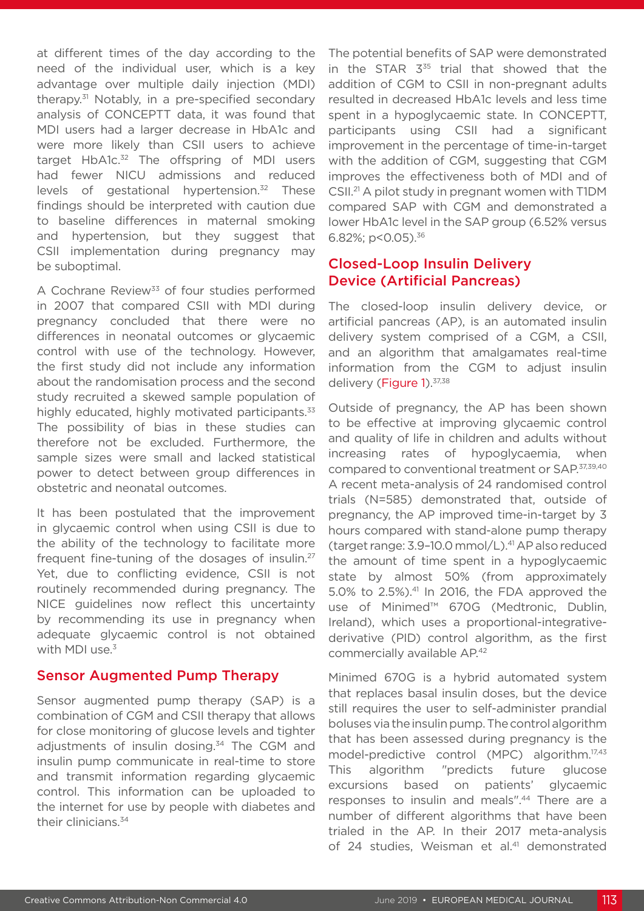at different times of the day according to the need of the individual user, which is a key advantage over multiple daily injection (MDI) therapy.31 Notably, in a pre-specified secondary analysis of CONCEPTT data, it was found that MDI users had a larger decrease in HbA1c and were more likely than CSII users to achieve target HbA1c.<sup>32</sup> The offspring of MDI users had fewer NICU admissions and reduced levels of gestational hypertension.<sup>32</sup> These findings should be interpreted with caution due to baseline differences in maternal smoking and hypertension, but they suggest that CSII implementation during pregnancy may be suboptimal.

A Cochrane Review<sup>33</sup> of four studies performed in 2007 that compared CSII with MDI during pregnancy concluded that there were no differences in neonatal outcomes or glycaemic control with use of the technology. However, the first study did not include any information about the randomisation process and the second study recruited a skewed sample population of highly educated, highly motivated participants.<sup>33</sup> The possibility of bias in these studies can therefore not be excluded. Furthermore, the sample sizes were small and lacked statistical power to detect between group differences in obstetric and neonatal outcomes.

It has been postulated that the improvement in glycaemic control when using CSII is due to the ability of the technology to facilitate more frequent fine-tuning of the dosages of insulin.27 Yet, due to conflicting evidence, CSII is not routinely recommended during pregnancy. The NICE guidelines now reflect this uncertainty by recommending its use in pregnancy when adequate glycaemic control is not obtained with MDI use. $3$ 

#### Sensor Augmented Pump Therapy

Sensor augmented pump therapy (SAP) is a combination of CGM and CSII therapy that allows for close monitoring of glucose levels and tighter adjustments of insulin dosing.<sup>34</sup> The CGM and insulin pump communicate in real-time to store and transmit information regarding glycaemic control. This information can be uploaded to the internet for use by people with diabetes and their clinicians.<sup>34</sup>

The potential benefits of SAP were demonstrated in the STAR  $3^{35}$  trial that showed that the addition of CGM to CSII in non-pregnant adults resulted in decreased HbA1c levels and less time spent in a hypoglycaemic state. In CONCEPTT, participants using CSII had a significant improvement in the percentage of time-in-target with the addition of CGM, suggesting that CGM improves the effectiveness both of MDI and of CSII.21 A pilot study in pregnant women with T1DM compared SAP with CGM and demonstrated a lower HbA1c level in the SAP group (6.52% versus 6.82%;  $p < 0.05$ ).<sup>36</sup>

## Closed-Loop Insulin Delivery Device (Artificial Pancreas)

The closed-loop insulin delivery device, or artificial pancreas (AP), is an automated insulin delivery system comprised of a CGM, a CSII, and an algorithm that amalgamates real-time information from the CGM to adjust insulin delivery (Figure 1).<sup>37,38</sup>

Outside of pregnancy, the AP has been shown to be effective at improving glycaemic control and quality of life in children and adults without increasing rates of hypoglycaemia, when compared to conventional treatment or SAP.37,39,40 A recent meta-analysis of 24 randomised control trials (N=585) demonstrated that, outside of pregnancy, the AP improved time-in-target by 3 hours compared with stand-alone pump therapy (target range: 3.9–10.0 mmol/L).41 AP also reduced the amount of time spent in a hypoglycaemic state by almost 50% (from approximately 5.0% to 2.5%).41 In 2016, the FDA approved the use of Minimed™ 670G (Medtronic, Dublin, Ireland), which uses a proportional-integrativederivative (PID) control algorithm, as the first commercially available AP.42

Minimed 670G is a hybrid automated system that replaces basal insulin doses, but the device still requires the user to self-administer prandial boluses via the insulin pump. The control algorithm that has been assessed during pregnancy is the model-predictive control (MPC) algorithm.17,43 This algorithm "predicts future glucose excursions based on patients' glycaemic responses to insulin and meals".44 There are a number of different algorithms that have been trialed in the AP. In their 2017 meta-analysis of 24 studies, Weisman et al.<sup>41</sup> demonstrated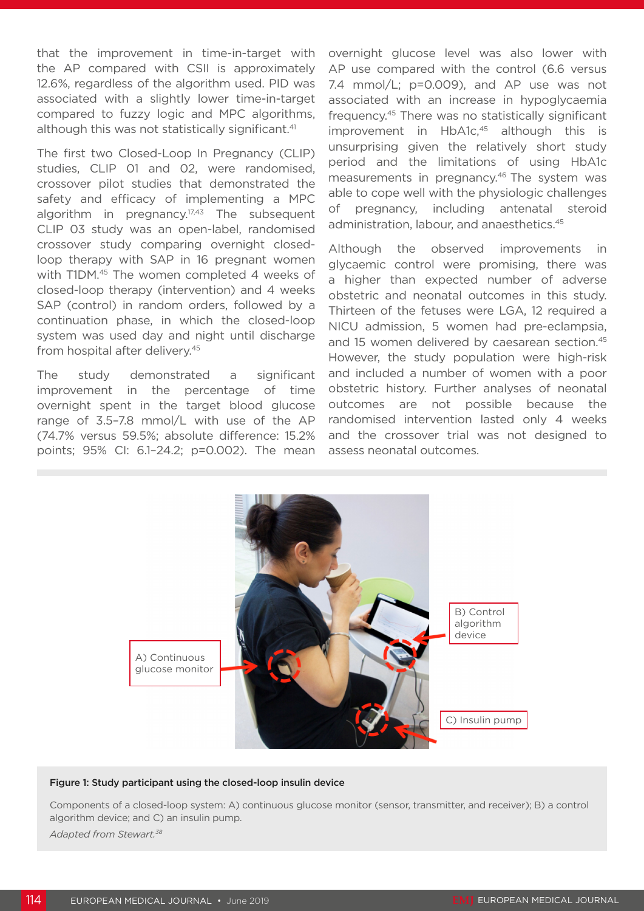that the improvement in time-in-target with the AP compared with CSII is approximately 12.6%, regardless of the algorithm used. PID was associated with a slightly lower time-in-target compared to fuzzy logic and MPC algorithms, although this was not statistically significant.<sup>41</sup>

The first two Closed-Loop In Pregnancy (CLIP) studies, CLIP 01 and 02, were randomised, crossover pilot studies that demonstrated the safety and efficacy of implementing a MPC algorithm in pregnancy.<sup>17,43</sup> The subsequent CLIP 03 study was an open-label, randomised crossover study comparing overnight closedloop therapy with SAP in 16 pregnant women with T1DM.<sup>45</sup> The women completed 4 weeks of closed-loop therapy (intervention) and 4 weeks SAP (control) in random orders, followed by a continuation phase, in which the closed-loop system was used day and night until discharge from hospital after delivery.<sup>45</sup>

The study demonstrated a significant improvement in the percentage of time overnight spent in the target blood glucose range of 3.5–7.8 mmol/L with use of the AP (74.7% versus 59.5%; absolute difference: 15.2% points; 95% CI: 6.1–24.2; p=0.002). The mean

overnight glucose level was also lower with AP use compared with the control (6.6 versus 7.4 mmol/L; p=0.009), and AP use was not associated with an increase in hypoglycaemia frequency.45 There was no statistically significant improvement in HbA1c,<sup>45</sup> although this is unsurprising given the relatively short study period and the limitations of using HbA1c measurements in pregnancy.<sup>46</sup> The system was able to cope well with the physiologic challenges of pregnancy, including antenatal steroid administration, labour, and anaesthetics.45

Although the observed improvements in glycaemic control were promising, there was a higher than expected number of adverse obstetric and neonatal outcomes in this study. Thirteen of the fetuses were LGA, 12 required a NICU admission, 5 women had pre-eclampsia, and 15 women delivered by caesarean section.<sup>45</sup> However, the study population were high-risk and included a number of women with a poor obstetric history. Further analyses of neonatal outcomes are not possible because the randomised intervention lasted only 4 weeks and the crossover trial was not designed to assess neonatal outcomes.



#### Figure 1: Study participant using the closed-loop insulin device

Components of a closed-loop system: A) continuous glucose monitor (sensor, transmitter, and receiver); B) a control algorithm device; and C) an insulin pump. *Adapted from Stewart.38*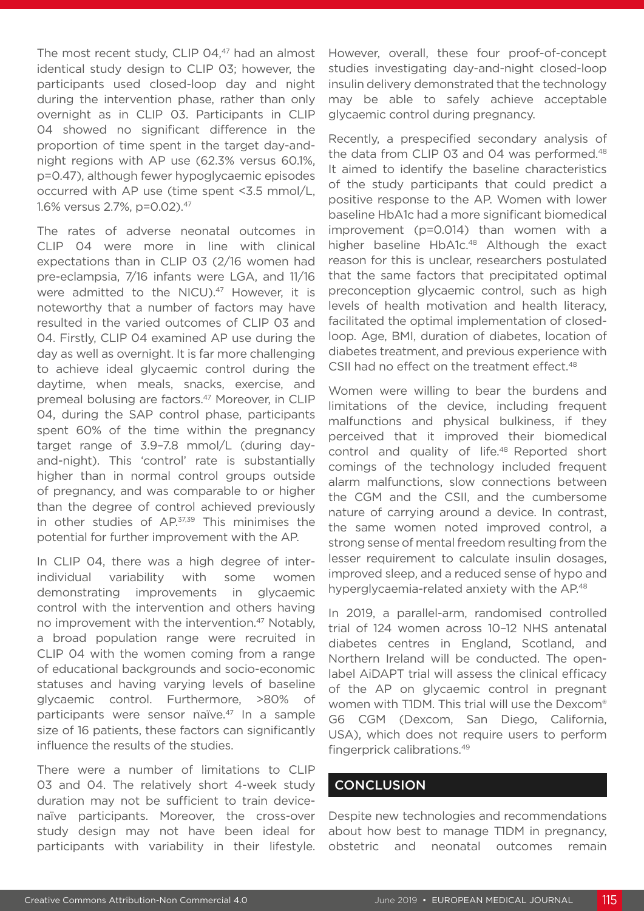The most recent study, CLIP 04,<sup>47</sup> had an almost identical study design to CLIP 03; however, the participants used closed-loop day and night during the intervention phase, rather than only overnight as in CLIP 03. Participants in CLIP 04 showed no significant difference in the proportion of time spent in the target day-andnight regions with AP use (62.3% versus 60.1%, p=0.47), although fewer hypoglycaemic episodes occurred with AP use (time spent <3.5 mmol/L, 1.6% versus 2.7%, p=0.02).47

The rates of adverse neonatal outcomes in CLIP 04 were more in line with clinical expectations than in CLIP 03 (2/16 women had pre-eclampsia, 7/16 infants were LGA, and 11/16 were admitted to the NICU).<sup>47</sup> However, it is noteworthy that a number of factors may have resulted in the varied outcomes of CLIP 03 and 04. Firstly, CLIP 04 examined AP use during the day as well as overnight. It is far more challenging to achieve ideal glycaemic control during the daytime, when meals, snacks, exercise, and premeal bolusing are factors.<sup>47</sup> Moreover, in CLIP 04, during the SAP control phase, participants spent 60% of the time within the pregnancy target range of 3.9–7.8 mmol/L (during dayand-night). This 'control' rate is substantially higher than in normal control groups outside of pregnancy, and was comparable to or higher than the degree of control achieved previously in other studies of AP.<sup>37,39</sup> This minimises the potential for further improvement with the AP.

In CLIP 04, there was a high degree of interindividual variability with some women demonstrating improvements in glycaemic control with the intervention and others having no improvement with the intervention.<sup>47</sup> Notably, a broad population range were recruited in CLIP 04 with the women coming from a range of educational backgrounds and socio-economic statuses and having varying levels of baseline glycaemic control. Furthermore, >80% of participants were sensor naïve.47 In a sample size of 16 patients, these factors can significantly influence the results of the studies.

There were a number of limitations to CLIP 03 and 04. The relatively short 4-week study duration may not be sufficient to train devicenaïve participants. Moreover, the cross-over study design may not have been ideal for participants with variability in their lifestyle. However, overall, these four proof-of-concept studies investigating day-and-night closed-loop insulin delivery demonstrated that the technology may be able to safely achieve acceptable glycaemic control during pregnancy.

Recently, a prespecified secondary analysis of the data from CLIP 03 and 04 was performed.<sup>48</sup> It aimed to identify the baseline characteristics of the study participants that could predict a positive response to the AP. Women with lower baseline HbA1c had a more significant biomedical improvement (p=0.014) than women with a higher baseline HbA1c.<sup>48</sup> Although the exact reason for this is unclear, researchers postulated that the same factors that precipitated optimal preconception glycaemic control, such as high levels of health motivation and health literacy, facilitated the optimal implementation of closedloop. Age, BMI, duration of diabetes, location of diabetes treatment, and previous experience with CSII had no effect on the treatment effect.<sup>48</sup>

Women were willing to bear the burdens and limitations of the device, including frequent malfunctions and physical bulkiness, if they perceived that it improved their biomedical control and quality of life.<sup>48</sup> Reported short comings of the technology included frequent alarm malfunctions, slow connections between the CGM and the CSII, and the cumbersome nature of carrying around a device. In contrast, the same women noted improved control, a strong sense of mental freedom resulting from the lesser requirement to calculate insulin dosages, improved sleep, and a reduced sense of hypo and hyperglycaemia-related anxiety with the AP.<sup>48</sup>

In 2019, a parallel-arm, randomised controlled trial of 124 women across 10–12 NHS antenatal diabetes centres in England, Scotland, and Northern Ireland will be conducted. The openlabel AiDAPT trial will assess the clinical efficacy of the AP on glycaemic control in pregnant women with T1DM. This trial will use the Dexcom® G6 CGM (Dexcom, San Diego, California, USA), which does not require users to perform fingerprick calibrations.49

#### **CONCLUSION**

Despite new technologies and recommendations about how best to manage T1DM in pregnancy, obstetric and neonatal outcomes remain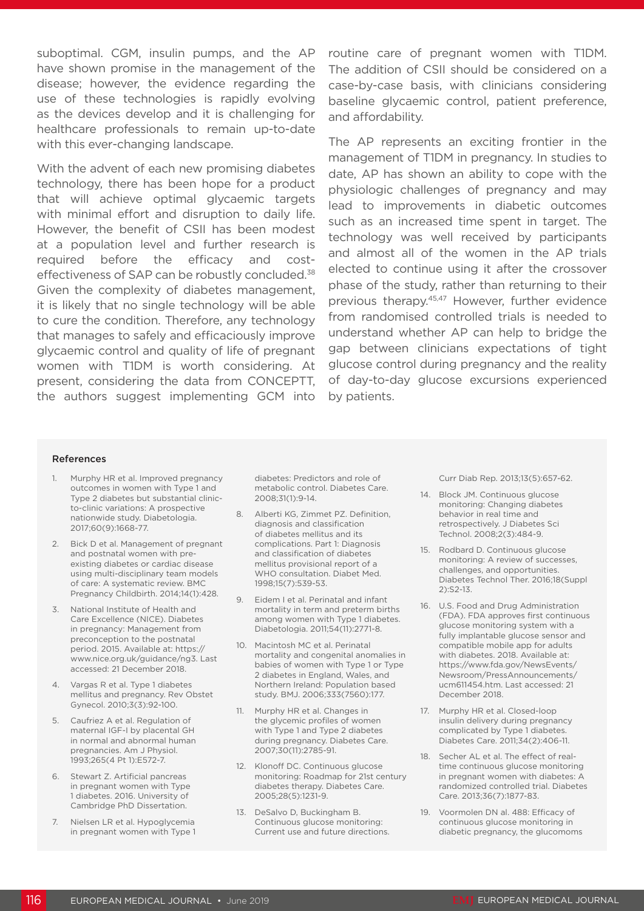suboptimal. CGM, insulin pumps, and the AP have shown promise in the management of the disease; however, the evidence regarding the use of these technologies is rapidly evolving as the devices develop and it is challenging for healthcare professionals to remain up-to-date with this ever-changing landscape.

With the advent of each new promising diabetes technology, there has been hope for a product that will achieve optimal glycaemic targets with minimal effort and disruption to daily life. However, the benefit of CSII has been modest at a population level and further research is required before the efficacy and costeffectiveness of SAP can be robustly concluded.<sup>38</sup> Given the complexity of diabetes management, it is likely that no single technology will be able to cure the condition. Therefore, any technology that manages to safely and efficaciously improve glycaemic control and quality of life of pregnant women with T1DM is worth considering. At present, considering the data from CONCEPTT, the authors suggest implementing GCM into

routine care of pregnant women with T1DM. The addition of CSII should be considered on a case-by-case basis, with clinicians considering baseline glycaemic control, patient preference, and affordability.

The AP represents an exciting frontier in the management of T1DM in pregnancy. In studies to date, AP has shown an ability to cope with the physiologic challenges of pregnancy and may lead to improvements in diabetic outcomes such as an increased time spent in target. The technology was well received by participants and almost all of the women in the AP trials elected to continue using it after the crossover phase of the study, rather than returning to their previous therapy.<sup>45,47</sup> However, further evidence from randomised controlled trials is needed to understand whether AP can help to bridge the gap between clinicians expectations of tight glucose control during pregnancy and the reality of day-to-day glucose excursions experienced by patients.

#### References

- 1. Murphy HR et al. Improved pregnancy outcomes in women with Type 1 and Type 2 diabetes but substantial clinicto-clinic variations: A prospective nationwide study. Diabetologia. 2017;60(9):1668-77.
- 2. Bick D et al. Management of pregnant and postnatal women with preexisting diabetes or cardiac disease using multi-disciplinary team models of care: A systematic review. BMC Pregnancy Childbirth. 2014;14(1):428.
- 3. National Institute of Health and Care Excellence (NICE). Diabetes in pregnancy: Management from preconception to the postnatal period. 2015. Available at: https:// www.nice.org.uk/guidance/ng3. Last accessed: 21 December 2018.
- 4. Vargas R et al. Type 1 diabetes mellitus and pregnancy. Rev Obstet Gynecol. 2010;3(3):92-100.
- 5. Caufriez A et al. Regulation of maternal IGF-I by placental GH in normal and abnormal human pregnancies. Am J Physiol. 1993;265(4 Pt 1):E572-7.
- 6. Stewart Z. Artificial pancreas in pregnant women with Type 1 diabetes. 2016. University of Cambridge PhD Dissertation.
- 7. Nielsen LR et al. Hypoglycemia in pregnant women with Type 1

diabetes: Predictors and role of metabolic control. Diabetes Care. 2008;31(1):9-14.

- 8. Alberti KG, Zimmet PZ. Definition, diagnosis and classification of diabetes mellitus and its complications. Part 1: Diagnosis and classification of diabetes mellitus provisional report of a WHO consultation. Diabet Med. 1998;15(7):539-53.
- 9. Eidem I et al. Perinatal and infant mortality in term and preterm births among women with Type 1 diabetes. Diabetologia. 2011;54(11):2771-8.
- 10. Macintosh MC et al. Perinatal mortality and congenital anomalies in babies of women with Type 1 or Type 2 diabetes in England, Wales, and Northern Ireland: Population based study. BMJ. 2006;333(7560):177.
- 11. Murphy HR et al. Changes in the glycemic profiles of women with Type 1 and Type 2 diabetes during pregnancy. Diabetes Care. 2007;30(11):2785-91.
- 12. Klonoff DC. Continuous glucose monitoring: Roadmap for 21st century diabetes therapy. Diabetes Care. 2005;28(5):1231-9.
- 13. DeSalvo D, Buckingham B. Continuous glucose monitoring: Current use and future directions.

Curr Diab Rep. 2013;13(5):657-62.

- 14. Block JM. Continuous glucose monitoring: Changing diabetes behavior in real time and retrospectively. J Diabetes Sci Technol. 2008;2(3):484-9.
- 15. Rodbard D. Continuous glucose monitoring: A review of successes, challenges, and opportunities. Diabetes Technol Ther. 2016;18(Suppl 2):S2-13.
- 16. U.S. Food and Drug Administration (FDA). FDA approves first continuous glucose monitoring system with a fully implantable glucose sensor and compatible mobile app for adults with diabetes. 2018. Available at: https://www.fda.gov/NewsEvents/ Newsroom/PressAnnouncements/ ucm611454.htm. Last accessed: 21 December 2018.
- 17. Murphy HR et al. Closed-loop insulin delivery during pregnancy complicated by Type 1 diabetes. Diabetes Care. 2011;34(2):406-11.
- 18. Secher AL et al. The effect of realtime continuous glucose monitoring in pregnant women with diabetes: A randomized controlled trial. Diabetes Care. 2013;36(7):1877-83.
- 19. Voormolen DN al. 488: Efficacy of continuous glucose monitoring in diabetic pregnancy, the glucomoms